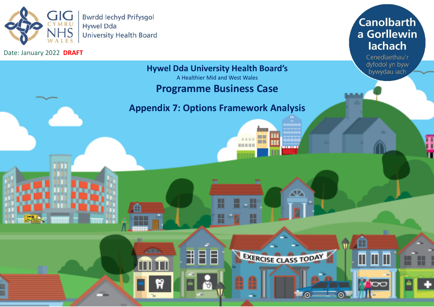

m

٤Y

**ZED** 

Date: January 2022 **DRAFT** 

# **Canolbarth** a Gorllewin lachach

Cenedlaethau'r dyfodol yn byw bywydau iach

B

 $\blacksquare$ 

田田

**TOC** 

# **Hywel Dda University Health Board's**

A Healthier Mid and West Wales

# **Programme Business Case**

# **Appendix 7: Options Framework Analysis**

₩

H

用目目

nnoon

aaaai

∞

EXERCISE CLASS TODAY

T

- 1

**BOOK DE DE LA** 

m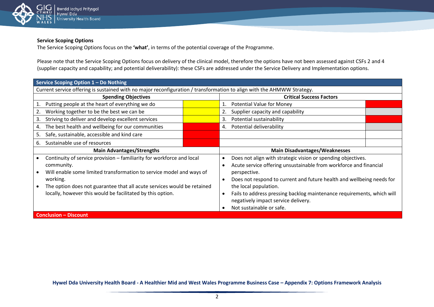

# **Service Scoping Options**

The Service Scoping Options focus on the **'what'**, in terms of the potential coverage of the Programme.

Please note that the Service Scoping Options focus on delivery of the clinical model, therefore the options have not been assessed against CSFs 2 and 4 (supplier capacity and capability; and potential deliverability): these CSFs are addressed under the Service Delivery and Implementation options.

| Service Scoping Option 1 - Do Nothing                                                                                                                                                                                                                                                                            |                                                                                                                                                                                                                                                                                                                                                                                                       |
|------------------------------------------------------------------------------------------------------------------------------------------------------------------------------------------------------------------------------------------------------------------------------------------------------------------|-------------------------------------------------------------------------------------------------------------------------------------------------------------------------------------------------------------------------------------------------------------------------------------------------------------------------------------------------------------------------------------------------------|
| Current service offering is sustained with no major reconfiguration / transformation to align with the AHMWW Strategy.                                                                                                                                                                                           |                                                                                                                                                                                                                                                                                                                                                                                                       |
| <b>Spending Objectives</b>                                                                                                                                                                                                                                                                                       | <b>Critical Success Factors</b>                                                                                                                                                                                                                                                                                                                                                                       |
| Putting people at the heart of everything we do<br>1.                                                                                                                                                                                                                                                            | <b>Potential Value for Money</b>                                                                                                                                                                                                                                                                                                                                                                      |
| Working together to be the best we can be<br>2.                                                                                                                                                                                                                                                                  | Supplier capacity and capability                                                                                                                                                                                                                                                                                                                                                                      |
| Striving to deliver and develop excellent services<br>3.                                                                                                                                                                                                                                                         | Potential sustainability<br>3.                                                                                                                                                                                                                                                                                                                                                                        |
| The best health and wellbeing for our communities<br>4.                                                                                                                                                                                                                                                          | Potential deliverability<br>4.                                                                                                                                                                                                                                                                                                                                                                        |
| Safe, sustainable, accessible and kind care<br>5.                                                                                                                                                                                                                                                                |                                                                                                                                                                                                                                                                                                                                                                                                       |
| Sustainable use of resources<br>6.                                                                                                                                                                                                                                                                               |                                                                                                                                                                                                                                                                                                                                                                                                       |
|                                                                                                                                                                                                                                                                                                                  |                                                                                                                                                                                                                                                                                                                                                                                                       |
| <b>Main Advantages/Strengths</b>                                                                                                                                                                                                                                                                                 | <b>Main Disadvantages/Weaknesses</b>                                                                                                                                                                                                                                                                                                                                                                  |
| Continuity of service provision - familiarity for workforce and local<br>community.<br>Will enable some limited transformation to service model and ways of<br>working.<br>The option does not guarantee that all acute services would be retained<br>locally, however this would be facilitated by this option. | Does not align with strategic vision or spending objectives.<br>Acute service offering unsustainable from workforce and financial<br>perspective.<br>Does not respond to current and future health and wellbeing needs for<br>-<br>the local population.<br>Fails to address pressing backlog maintenance requirements, which will<br>negatively impact service delivery.<br>Not sustainable or safe. |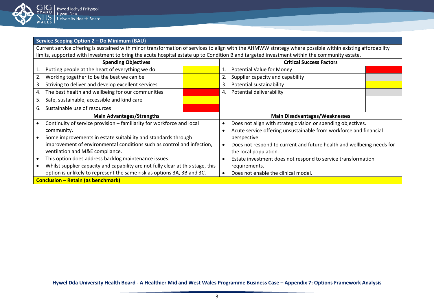

# **Service Scoping Option 2 – Do Minimum (BAU)**

Current service offering is sustained with minor transformation of services to align with the AHMWW strategy where possible within existing affordability limits, supported with investment to bring the acute hospital estate up to Condition B and targeted investment within the community estate.

| <b>Spending Objectives</b> |                                                                                 |  | <b>Critical Success Factors</b>      |                                                                       |  |
|----------------------------|---------------------------------------------------------------------------------|--|--------------------------------------|-----------------------------------------------------------------------|--|
|                            | Putting people at the heart of everything we do                                 |  | 1.                                   | <b>Potential Value for Money</b>                                      |  |
|                            | Working together to be the best we can be                                       |  |                                      | Supplier capacity and capability                                      |  |
| 3.                         | Striving to deliver and develop excellent services                              |  | 3.                                   | Potential sustainability                                              |  |
| 4.                         | The best health and wellbeing for our communities                               |  | 4.                                   | Potential deliverability                                              |  |
| 5.                         | Safe, sustainable, accessible and kind care                                     |  |                                      |                                                                       |  |
| 6.                         | Sustainable use of resources                                                    |  |                                      |                                                                       |  |
|                            | <b>Main Advantages/Strengths</b>                                                |  | <b>Main Disadvantages/Weaknesses</b> |                                                                       |  |
|                            | Continuity of service provision - familiarity for workforce and local           |  |                                      | Does not align with strategic vision or spending objectives.          |  |
|                            | community.                                                                      |  |                                      | Acute service offering unsustainable from workforce and financial     |  |
|                            | Some improvements in estate suitability and standards through                   |  |                                      | perspective.                                                          |  |
|                            | improvement of environmental conditions such as control and infection,          |  |                                      | Does not respond to current and future health and wellbeing needs for |  |
|                            | ventilation and M&E compliance.                                                 |  |                                      | the local population.                                                 |  |
|                            | This option does address backlog maintenance issues.                            |  |                                      | Estate investment does not respond to service transformation          |  |
|                            | Whilst supplier capacity and capability are not fully clear at this stage, this |  |                                      | requirements.                                                         |  |
|                            | option is unlikely to represent the same risk as options 3A, 3B and 3C.         |  |                                      | Does not enable the clinical model.                                   |  |
|                            | <b>Conclusion - Retain (as benchmark)</b>                                       |  |                                      |                                                                       |  |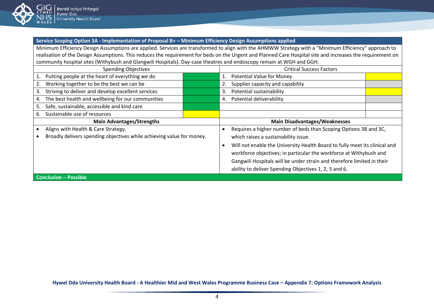

#### **Service Scoping Option 3A - Implementation of Proposal B+ – Minimum Efficiency Design Assumptions applied**

Minimum Efficiency Design Assumptions are applied. Services are transformed to align with the AHMWW Strategy with a "Minimum Efficiency" approach to realisation of the Design Assumptions. This reduces the requirement for beds on the Urgent and Planned Care Hospital site and increases the requirement on community hospital sites (Withybush and Glangwili Hospitals). Day-case theatres and endoscopy remain at WGH and GGH.

| <b>Spending Objectives</b>                                            |  | <b>Critical Success Factors</b>                                            |  |  |
|-----------------------------------------------------------------------|--|----------------------------------------------------------------------------|--|--|
| Putting people at the heart of everything we do                       |  | <b>Potential Value for Money</b><br>1.                                     |  |  |
| Working together to be the best we can be                             |  | Supplier capacity and capability                                           |  |  |
| Striving to deliver and develop excellent services<br>3.              |  | Potential sustainability<br>3.                                             |  |  |
| The best health and wellbeing for our communities<br>4.               |  | Potential deliverability<br>4.                                             |  |  |
| Safe, sustainable, accessible and kind care<br>5.                     |  |                                                                            |  |  |
| Sustainable use of resources<br>6.                                    |  |                                                                            |  |  |
| <b>Main Advantages/Strengths</b>                                      |  | <b>Main Disadvantages/Weaknesses</b>                                       |  |  |
| Aligns with Health & Care Strategy.                                   |  | Requires a higher number of beds than Scoping Options 3B and 3C,           |  |  |
| Broadly delivers spending objectives while achieving value for money. |  | which raises a sustainability issue.                                       |  |  |
|                                                                       |  | Will not enable the University Health Board to fully meet its clinical and |  |  |
|                                                                       |  | workforce objectives; in particular the workforce at Withybush and         |  |  |
|                                                                       |  | Gangwili Hospitals will be under strain and therefore limited in their     |  |  |
|                                                                       |  | ability to deliver Spending Objectives 1, 2, 5 and 6.                      |  |  |
| <b>Conclusion - Possible</b>                                          |  |                                                                            |  |  |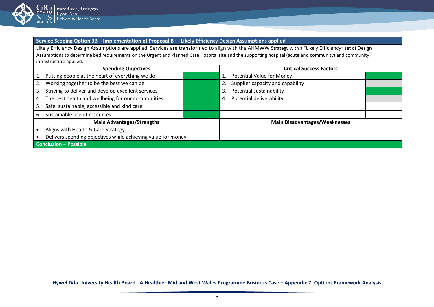

**Service Scoping Option 3B – Implementation of Proposal B+ - Likely Efficiency Design Assumptions applied**

Likely Efficiency Design Assumptions are applied. Services are transformed to align with the AHMWW Strategy with a "Likely Efficiency" set of Design Assumptions to determine bed requirements on the Urgent and Planned Care Hospital site and the supporting hospital (acute and community) and community infrastructure applied.

| <b>Spending Objectives</b>                                    |  | <b>Critical Success Factors</b>        |  |  |
|---------------------------------------------------------------|--|----------------------------------------|--|--|
| Putting people at the heart of everything we do               |  | <b>Potential Value for Money</b>       |  |  |
| Working together to be the best we can be<br>2.               |  | Supplier capacity and capability<br>2. |  |  |
| Striving to deliver and develop excellent services<br>3.      |  | Potential sustainability<br>3.         |  |  |
| The best health and wellbeing for our communities<br>4.       |  | Potential deliverability<br>4.         |  |  |
| Safe, sustainable, accessible and kind care<br>5.             |  |                                        |  |  |
| Sustainable use of resources<br>6.                            |  |                                        |  |  |
| <b>Main Advantages/Strengths</b>                              |  | <b>Main Disadvantages/Weaknesses</b>   |  |  |
| Aligns with Health & Care Strategy.                           |  |                                        |  |  |
| Delivers spending objectives while achieving value for money. |  |                                        |  |  |
| <b>Conclusion - Possible</b>                                  |  |                                        |  |  |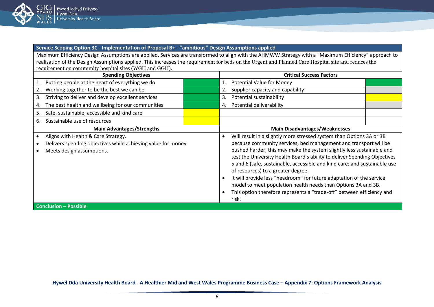

**Service Scoping Option 3C - Implementation of Proposal B+ - "ambitious" Design Assumptions applied**

Maximum Efficiency Design Assumptions are applied. Services are transformed to align with the AHMWW Strategy with a "Maximum Efficiency" approach to realisation of the Design Assumptions applied. This increases the requirement for beds on the Urgent and Planned Care Hospital site and reduces the requirement on community hospital sites (WGH and GGH).

| <b>Spending Objectives</b> |                                                               |  | <b>Critical Success Factors</b>                                  |                                                                           |  |
|----------------------------|---------------------------------------------------------------|--|------------------------------------------------------------------|---------------------------------------------------------------------------|--|
|                            | Putting people at the heart of everything we do               |  | 1.                                                               | <b>Potential Value for Money</b>                                          |  |
| 2.                         | Working together to be the best we can be                     |  |                                                                  | Supplier capacity and capability                                          |  |
| 3.                         | Striving to deliver and develop excellent services            |  | 3.                                                               | Potential sustainability                                                  |  |
| 4.                         | The best health and wellbeing for our communities             |  | 4.                                                               | Potential deliverability                                                  |  |
| 5.                         | Safe, sustainable, accessible and kind care                   |  |                                                                  |                                                                           |  |
| 6.                         | Sustainable use of resources                                  |  |                                                                  |                                                                           |  |
|                            | <b>Main Advantages/Strengths</b>                              |  |                                                                  | <b>Main Disadvantages/Weaknesses</b>                                      |  |
|                            | Aligns with Health & Care Strategy.                           |  | $\bullet$                                                        | Will result in a slightly more stressed system than Options 3A or 3B      |  |
|                            | Delivers spending objectives while achieving value for money. |  | because community services, bed management and transport will be |                                                                           |  |
|                            | Meets design assumptions.                                     |  |                                                                  | pushed harder; this may make the system slightly less sustainable and     |  |
|                            |                                                               |  |                                                                  | test the University Health Board's ability to deliver Spending Objectives |  |
|                            |                                                               |  |                                                                  | 5 and 6 (safe, sustainable, accessible and kind care; and sustainable use |  |
|                            |                                                               |  |                                                                  | of resources) to a greater degree.                                        |  |
|                            |                                                               |  | $\bullet$                                                        | It will provide less "headroom" for future adaptation of the service      |  |
|                            |                                                               |  |                                                                  | model to meet population health needs than Options 3A and 3B.             |  |
|                            |                                                               |  |                                                                  | This option therefore represents a "trade-off" between efficiency and     |  |
|                            |                                                               |  |                                                                  | risk.                                                                     |  |
|                            | <b>Conclusion - Possible</b>                                  |  |                                                                  |                                                                           |  |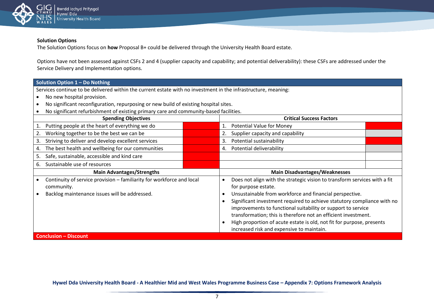

# **Solution Options**

The Solution Options focus on **how** Proposal B+ could be delivered through the University Health Board estate.

Options have not been assessed against CSFs 2 and 4 (supplier capacity and capability; and potential deliverability): these CSFs are addressed under the Service Delivery and Implementation options.

| Solution Option 1 - Do Nothing                                                                                 |                                                                           |  |
|----------------------------------------------------------------------------------------------------------------|---------------------------------------------------------------------------|--|
| Services continue to be delivered within the current estate with no investment in the infrastructure, meaning: |                                                                           |  |
| No new hospital provision.                                                                                     |                                                                           |  |
| No significant reconfiguration, repurposing or new build of existing hospital sites.                           |                                                                           |  |
| No significant refurbishment of existing primary care and community-based facilities.                          |                                                                           |  |
| <b>Spending Objectives</b>                                                                                     | <b>Critical Success Factors</b>                                           |  |
| Putting people at the heart of everything we do<br>1.                                                          | <b>Potential Value for Money</b><br>1.                                    |  |
| Working together to be the best we can be<br>2.                                                                | Supplier capacity and capability<br>2.                                    |  |
| Striving to deliver and develop excellent services<br>3.                                                       | Potential sustainability<br>3.                                            |  |
| The best health and wellbeing for our communities<br>4.                                                        | Potential deliverability<br>4.                                            |  |
| Safe, sustainable, accessible and kind care<br>5.                                                              |                                                                           |  |
| Sustainable use of resources<br>6.                                                                             |                                                                           |  |
| <b>Main Advantages/Strengths</b>                                                                               | <b>Main Disadvantages/Weaknesses</b>                                      |  |
| Continuity of service provision - familiarity for workforce and local                                          | Does not align with the strategic vision to transform services with a fit |  |
| community.                                                                                                     | for purpose estate.                                                       |  |
| Backlog maintenance issues will be addressed.                                                                  | Unsustainable from workforce and financial perspective.                   |  |
|                                                                                                                | Significant investment required to achieve statutory compliance with no   |  |
|                                                                                                                | improvements to functional suitability or support to service              |  |
|                                                                                                                | transformation; this is therefore not an efficient investment.            |  |
|                                                                                                                | High proportion of acute estate is old, not fit for purpose, presents     |  |
|                                                                                                                | increased risk and expensive to maintain.                                 |  |
| <b>Conclusion - Discount</b>                                                                                   |                                                                           |  |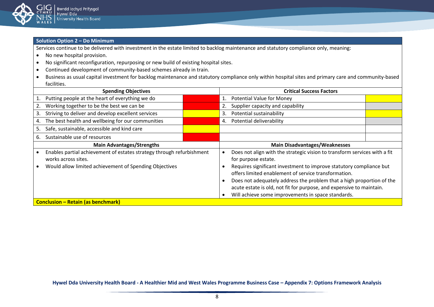

# **Solution Option 2 – Do Minimum**

Services continue to be delivered with investment in the estate limited to backlog maintenance and statutory compliance only, meaning:

- No new hospital provision.
- No significant reconfiguration, repurposing or new build of existing hospital sites.
- Continued development of community-based schemes already in train.
- Business as usual capital investment for backlog maintenance and statutory compliance only within hospital sites and primary care and community-based facilities.

| <b>Spending Objectives</b>                                                                   |                                                                                                                                                                                                                                                                                                                                    | <b>Critical Success Factors</b>                                                                  |  |
|----------------------------------------------------------------------------------------------|------------------------------------------------------------------------------------------------------------------------------------------------------------------------------------------------------------------------------------------------------------------------------------------------------------------------------------|--------------------------------------------------------------------------------------------------|--|
| Putting people at the heart of everything we do                                              |                                                                                                                                                                                                                                                                                                                                    | <b>Potential Value for Money</b><br>1.                                                           |  |
| Working together to be the best we can be                                                    |                                                                                                                                                                                                                                                                                                                                    | Supplier capacity and capability                                                                 |  |
| Striving to deliver and develop excellent services<br>3.                                     |                                                                                                                                                                                                                                                                                                                                    | Potential sustainability<br>3.                                                                   |  |
| The best health and wellbeing for our communities<br>4.                                      |                                                                                                                                                                                                                                                                                                                                    | Potential deliverability<br>4.                                                                   |  |
| Safe, sustainable, accessible and kind care<br>5.                                            |                                                                                                                                                                                                                                                                                                                                    |                                                                                                  |  |
| Sustainable use of resources<br>6.                                                           |                                                                                                                                                                                                                                                                                                                                    |                                                                                                  |  |
| <b>Main Advantages/Strengths</b>                                                             |                                                                                                                                                                                                                                                                                                                                    | <b>Main Disadvantages/Weaknesses</b>                                                             |  |
| Enables partial achievement of estates strategy through refurbishment<br>works across sites. |                                                                                                                                                                                                                                                                                                                                    | Does not align with the strategic vision to transform services with a fit<br>for purpose estate. |  |
| Would allow limited achievement of Spending Objectives                                       | Requires significant investment to improve statutory compliance but<br>offers limited enablement of service transformation.<br>Does not adequately address the problem that a high proportion of the<br>acute estate is old, not fit for purpose, and expensive to maintain.<br>Will achieve some improvements in space standards. |                                                                                                  |  |
| <b>Conclusion – Retain (as benchmark)</b>                                                    |                                                                                                                                                                                                                                                                                                                                    |                                                                                                  |  |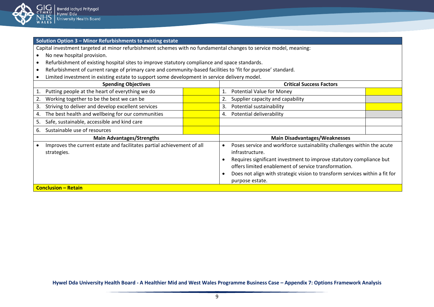

# **Solution Option 3 – Minor Refurbishments to existing estate**

Capital investment targeted at minor refurbishment schemes with no fundamental changes to service model, meaning:

- No new hospital provision.
- Refurbishment of existing hospital sites to improve statutory compliance and space standards.
- Refurbishment of current range of primary care and community-based facilities to 'fit for purpose' standard.
- Limited investment in existing estate to support some development in service delivery model.

| <b>Spending Objectives</b>                                                            |  | <b>Critical Success Factors</b>                                                                                                                                                                                                                                                                                                 |  |  |
|---------------------------------------------------------------------------------------|--|---------------------------------------------------------------------------------------------------------------------------------------------------------------------------------------------------------------------------------------------------------------------------------------------------------------------------------|--|--|
| Putting people at the heart of everything we do                                       |  | <b>Potential Value for Money</b>                                                                                                                                                                                                                                                                                                |  |  |
| Working together to be the best we can be<br>2.                                       |  | Supplier capacity and capability                                                                                                                                                                                                                                                                                                |  |  |
| Striving to deliver and develop excellent services<br>3.                              |  | Potential sustainability<br>3.                                                                                                                                                                                                                                                                                                  |  |  |
| The best health and wellbeing for our communities<br>4.                               |  | Potential deliverability<br>4.                                                                                                                                                                                                                                                                                                  |  |  |
| Safe, sustainable, accessible and kind care<br>5.                                     |  |                                                                                                                                                                                                                                                                                                                                 |  |  |
| Sustainable use of resources<br>6.                                                    |  |                                                                                                                                                                                                                                                                                                                                 |  |  |
| <b>Main Advantages/Strengths</b>                                                      |  | <b>Main Disadvantages/Weaknesses</b>                                                                                                                                                                                                                                                                                            |  |  |
| Improves the current estate and facilitates partial achievement of all<br>strategies. |  | Poses service and workforce sustainability challenges within the acute<br>€<br>infrastructure.<br>Requires significant investment to improve statutory compliance but<br>offers limited enablement of service transformation.<br>Does not align with strategic vision to transform services within a fit for<br>purpose estate. |  |  |
| <b>Conclusion - Retain</b>                                                            |  |                                                                                                                                                                                                                                                                                                                                 |  |  |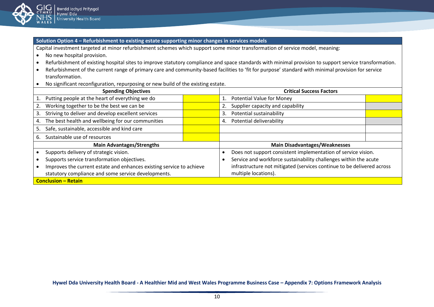

**Solution Option 4 – Refurbishment to existing estate supporting minor changes in services models**

Capital investment targeted at minor refurbishment schemes which support some minor transformation of service model, meaning:

- No new hospital provision.
- Refurbishment of existing hospital sites to improve statutory compliance and space standards with minimal provision to support service transformation.
- Refurbishment of the current range of primary care and community-based facilities to 'fit for purpose' standard with minimal provision for service transformation.
- No significant reconfiguration, repurposing or new build of the existing estate.

| <b>Spending Objectives</b>                                           |  | <b>Critical Success Factors</b>                                        |  |
|----------------------------------------------------------------------|--|------------------------------------------------------------------------|--|
| Putting people at the heart of everything we do                      |  | <b>Potential Value for Money</b>                                       |  |
| Working together to be the best we can be<br>2.                      |  | Supplier capacity and capability                                       |  |
| Striving to deliver and develop excellent services<br>3.             |  | Potential sustainability<br>3.                                         |  |
| The best health and wellbeing for our communities<br>4.              |  | Potential deliverability<br>4.                                         |  |
| Safe, sustainable, accessible and kind care<br>5.                    |  |                                                                        |  |
| Sustainable use of resources<br>6.                                   |  |                                                                        |  |
| <b>Main Advantages/Strengths</b>                                     |  | <b>Main Disadvantages/Weaknesses</b>                                   |  |
| Supports delivery of strategic vision.                               |  | Does not support consistent implementation of service vision.          |  |
| Supports service transformation objectives.                          |  | Service and workforce sustainability challenges within the acute       |  |
| Improves the current estate and enhances existing service to achieve |  | infrastructure not mitigated (services continue to be delivered across |  |
| statutory compliance and some service developments.                  |  | multiple locations).                                                   |  |
| <b>Conclusion - Retain</b>                                           |  |                                                                        |  |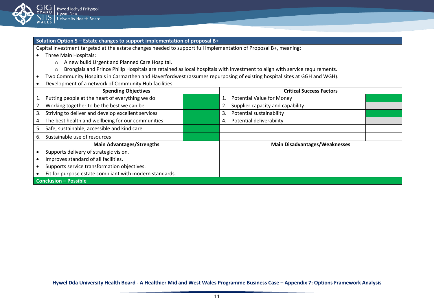

#### **Solution Option 5 – Estate changes to support implementation of proposal B+**

Capital investment targeted at the estate changes needed to support full implementation of Proposal B+, meaning:

- Three Main Hospitals:
	- o A new build Urgent and Planned Care Hospital.
	- o Bronglais and Prince Philip Hospitals are retained as local hospitals with investment to align with service requirements.
- Two Community Hospitals in Carmarthen and Haverfordwest (assumes repurposing of existing hospital sites at GGH and WGH).
- Development of a network of Community Hub facilities.

| <b>Spending Objectives</b>                               | <b>Critical Success Factors</b>        |  |
|----------------------------------------------------------|----------------------------------------|--|
| Putting people at the heart of everything we do          | <b>Potential Value for Money</b><br>1. |  |
| Working together to be the best we can be                | Supplier capacity and capability<br>2. |  |
| Striving to deliver and develop excellent services<br>3. | Potential sustainability<br>3.         |  |
| The best health and wellbeing for our communities<br>4.  | Potential deliverability<br>4.         |  |
| Safe, sustainable, accessible and kind care<br>5.        |                                        |  |
| Sustainable use of resources<br>ь.                       |                                        |  |
| <b>Main Advantages/Strengths</b>                         | <b>Main Disadvantages/Weaknesses</b>   |  |
| Supports delivery of strategic vision.                   |                                        |  |
| Improves standard of all facilities.                     |                                        |  |
| Supports service transformation objectives.              |                                        |  |
| Fit for purpose estate compliant with modern standards.  |                                        |  |
| <b>Conclusion - Possible</b>                             |                                        |  |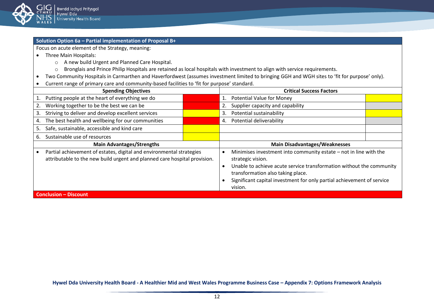

# **Solution Option 6a – Partial implementation of Proposal B+**

Focus on acute element of the Strategy, meaning:

- Three Main Hospitals:
	- o A new build Urgent and Planned Care Hospital.
	- o Bronglais and Prince Philip Hospitals are retained as local hospitals with investment to align with service requirements.
- Two Community Hospitals in Carmarthen and Haverfordwest (assumes investment limited to bringing GGH and WGH sites to 'fit for purpose' only).
- Current range of primary care and community-based facilities to 'fit for purpose' standard.

| <b>Spending Objectives</b>                                                                                                                        |  | <b>Critical Success Factors</b>                                                                                                                                                                                                                                                          |  |
|---------------------------------------------------------------------------------------------------------------------------------------------------|--|------------------------------------------------------------------------------------------------------------------------------------------------------------------------------------------------------------------------------------------------------------------------------------------|--|
| Putting people at the heart of everything we do                                                                                                   |  | <b>Potential Value for Money</b>                                                                                                                                                                                                                                                         |  |
| Working together to be the best we can be<br>2.                                                                                                   |  | Supplier capacity and capability<br>2.                                                                                                                                                                                                                                                   |  |
| Striving to deliver and develop excellent services<br>3.                                                                                          |  | Potential sustainability<br>3.                                                                                                                                                                                                                                                           |  |
| The best health and wellbeing for our communities<br>4.                                                                                           |  | Potential deliverability<br>4.                                                                                                                                                                                                                                                           |  |
| Safe, sustainable, accessible and kind care<br>5.                                                                                                 |  |                                                                                                                                                                                                                                                                                          |  |
| Sustainable use of resources<br>6.                                                                                                                |  |                                                                                                                                                                                                                                                                                          |  |
| <b>Main Advantages/Strengths</b>                                                                                                                  |  | <b>Main Disadvantages/Weaknesses</b>                                                                                                                                                                                                                                                     |  |
| Partial achievement of estates, digital and environmental strategies<br>attributable to the new build urgent and planned care hospital provision. |  | Minimises investment into community estate - not in line with the<br>strategic vision.<br>Unable to achieve acute service transformation without the community<br>transformation also taking place.<br>Significant capital investment for only partial achievement of service<br>vision. |  |
| <b>Conclusion - Discount</b>                                                                                                                      |  |                                                                                                                                                                                                                                                                                          |  |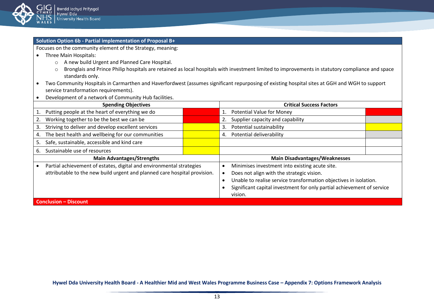

# **Solution Option 6b - Partial implementation of Proposal B+**

Focuses on the community element of the Strategy, meaning:

- Three Main Hospitals:
	- o A new build Urgent and Planned Care Hospital.
	- o Bronglais and Prince Philip hospitals are retained as local hospitals with investment limited to improvements in statutory compliance and space standards only.
- Two Community Hospitals in Carmarthen and Haverfordwest (assumes significant repurposing of existing hospital sites at GGH and WGH to support service transformation requirements).
- Development of a network of Community Hub facilities.

| <b>Spending Objectives</b>                                                |  | <b>Critical Success Factors</b>                                        |  |
|---------------------------------------------------------------------------|--|------------------------------------------------------------------------|--|
| Putting people at the heart of everything we do                           |  | <b>Potential Value for Money</b>                                       |  |
| Working together to be the best we can be                                 |  | Supplier capacity and capability<br>2.                                 |  |
| Striving to deliver and develop excellent services<br>3.                  |  | Potential sustainability<br>3.                                         |  |
| The best health and wellbeing for our communities<br>4.                   |  | Potential deliverability<br>4.                                         |  |
| Safe, sustainable, accessible and kind care<br>5.                         |  |                                                                        |  |
| Sustainable use of resources<br>6.                                        |  |                                                                        |  |
| <b>Main Advantages/Strengths</b>                                          |  | <b>Main Disadvantages/Weaknesses</b>                                   |  |
| Partial achievement of estates, digital and environmental strategies      |  | Minimises investment into existing acute site.                         |  |
| attributable to the new build urgent and planned care hospital provision. |  | Does not align with the strategic vision.                              |  |
|                                                                           |  | Unable to realise service transformation objectives in isolation.      |  |
|                                                                           |  | Significant capital investment for only partial achievement of service |  |
|                                                                           |  | vision.                                                                |  |
| <b>Conclusion - Discount</b>                                              |  |                                                                        |  |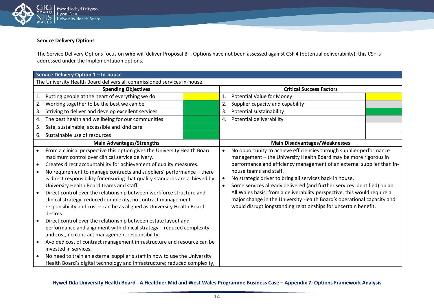

# **Service Delivery Options**

The Service Delivery Options focus on **who** will deliver Proposal B+. Options have not been assessed against CSF 4 (potential deliverability): this CSF is addressed under the Implementation options.

|                        | Service Delivery Option 1 - In-house                                                                                                                                                                                                                                                                                                                                                                                                                                                                                                                                                                                                   |  |                                     |                                                                                                                                                                                                                                                                                                                                                                                                                                                                                                                                                                                                             |  |  |  |
|------------------------|----------------------------------------------------------------------------------------------------------------------------------------------------------------------------------------------------------------------------------------------------------------------------------------------------------------------------------------------------------------------------------------------------------------------------------------------------------------------------------------------------------------------------------------------------------------------------------------------------------------------------------------|--|-------------------------------------|-------------------------------------------------------------------------------------------------------------------------------------------------------------------------------------------------------------------------------------------------------------------------------------------------------------------------------------------------------------------------------------------------------------------------------------------------------------------------------------------------------------------------------------------------------------------------------------------------------------|--|--|--|
|                        | The University Health Board delivers all commissioned services in-house.                                                                                                                                                                                                                                                                                                                                                                                                                                                                                                                                                               |  |                                     |                                                                                                                                                                                                                                                                                                                                                                                                                                                                                                                                                                                                             |  |  |  |
|                        | <b>Spending Objectives</b>                                                                                                                                                                                                                                                                                                                                                                                                                                                                                                                                                                                                             |  |                                     | <b>Critical Success Factors</b>                                                                                                                                                                                                                                                                                                                                                                                                                                                                                                                                                                             |  |  |  |
| 1.                     | Putting people at the heart of everything we do                                                                                                                                                                                                                                                                                                                                                                                                                                                                                                                                                                                        |  | 1.                                  | <b>Potential Value for Money</b>                                                                                                                                                                                                                                                                                                                                                                                                                                                                                                                                                                            |  |  |  |
| 2.                     | Working together to be the best we can be                                                                                                                                                                                                                                                                                                                                                                                                                                                                                                                                                                                              |  | 2.                                  | Supplier capacity and capability                                                                                                                                                                                                                                                                                                                                                                                                                                                                                                                                                                            |  |  |  |
| 3.                     | Striving to deliver and develop excellent services                                                                                                                                                                                                                                                                                                                                                                                                                                                                                                                                                                                     |  | 3.                                  | Potential sustainability                                                                                                                                                                                                                                                                                                                                                                                                                                                                                                                                                                                    |  |  |  |
| 4.                     | The best health and wellbeing for our communities                                                                                                                                                                                                                                                                                                                                                                                                                                                                                                                                                                                      |  | 4.                                  | Potential deliverability                                                                                                                                                                                                                                                                                                                                                                                                                                                                                                                                                                                    |  |  |  |
| 5.                     | Safe, sustainable, accessible and kind care                                                                                                                                                                                                                                                                                                                                                                                                                                                                                                                                                                                            |  |                                     |                                                                                                                                                                                                                                                                                                                                                                                                                                                                                                                                                                                                             |  |  |  |
| 6.                     | Sustainable use of resources                                                                                                                                                                                                                                                                                                                                                                                                                                                                                                                                                                                                           |  |                                     |                                                                                                                                                                                                                                                                                                                                                                                                                                                                                                                                                                                                             |  |  |  |
|                        | <b>Main Advantages/Strengths</b>                                                                                                                                                                                                                                                                                                                                                                                                                                                                                                                                                                                                       |  |                                     | <b>Main Disadvantages/Weaknesses</b>                                                                                                                                                                                                                                                                                                                                                                                                                                                                                                                                                                        |  |  |  |
| $\bullet$<br>$\bullet$ | From a clinical perspective this option gives the University Health Board<br>maximum control over clinical service delivery.<br>Creates direct accountability for achievement of quality measures.<br>No requirement to manage contracts and suppliers' performance – there<br>is direct responsibility for ensuring that quality standards are achieved by<br>University Health Board teams and staff.<br>Direct control over the relationship between workforce structure and<br>clinical strategy; reduced complexity, no contract management<br>responsibility and cost - can be as aligned as University Health Board<br>desires. |  | $\bullet$<br>$\bullet$<br>$\bullet$ | No opportunity to achieve efficiencies through supplier performance<br>management - the University Health Board may be more rigorous in<br>performance and efficiency management of an external supplier than in-<br>house teams and staff.<br>No strategic driver to bring all services back in house.<br>Some services already delivered (and further services identified) on an<br>All Wales basis; from a deliverability perspective, this would require a<br>major change in the University Health Board's operational capacity and<br>would disrupt longstanding relationships for uncertain benefit. |  |  |  |
| $\bullet$              | Direct control over the relationship between estate layout and<br>performance and alignment with clinical strategy - reduced complexity<br>and cost, no contract management responsibility.<br>Avoided cost of contract management infrastructure and resource can be<br>invested in services.<br>No need to train an external supplier's staff in how to use the University<br>Health Board's digital technology and infrastructure; reduced complexity,                                                                                                                                                                              |  |                                     |                                                                                                                                                                                                                                                                                                                                                                                                                                                                                                                                                                                                             |  |  |  |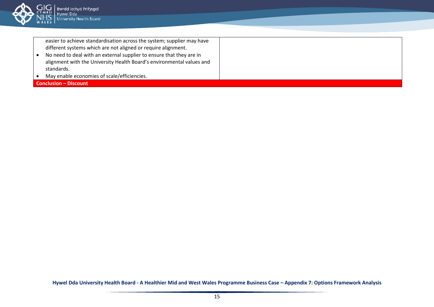

| easier to achieve standardisation across the system; supplier may have |  |
|------------------------------------------------------------------------|--|
| different systems which are not aligned or require alignment.          |  |
| No need to deal with an external supplier to ensure that they are in   |  |
| alignment with the University Health Board's environmental values and  |  |
| standards.                                                             |  |
| May enable economies of scale/efficiencies.                            |  |
| <b>Conclusion - Discount</b>                                           |  |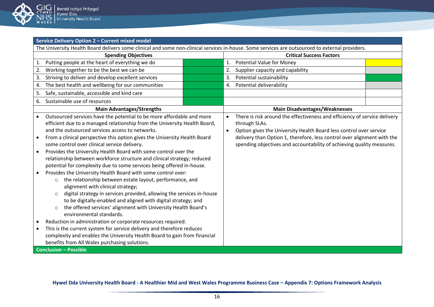

| Service Delivery Option 2 - Current mixed model                                                                                                                                                                                                                                                                                                                                                                                                                                                                                                                                                                                                                                                                                                                                                                                                                                                                                                                                                                                                                                                                                                                                                                                                                                          |                                                                                                                                                                                                                                                                                                                      |  |  |  |  |  |
|------------------------------------------------------------------------------------------------------------------------------------------------------------------------------------------------------------------------------------------------------------------------------------------------------------------------------------------------------------------------------------------------------------------------------------------------------------------------------------------------------------------------------------------------------------------------------------------------------------------------------------------------------------------------------------------------------------------------------------------------------------------------------------------------------------------------------------------------------------------------------------------------------------------------------------------------------------------------------------------------------------------------------------------------------------------------------------------------------------------------------------------------------------------------------------------------------------------------------------------------------------------------------------------|----------------------------------------------------------------------------------------------------------------------------------------------------------------------------------------------------------------------------------------------------------------------------------------------------------------------|--|--|--|--|--|
| The University Health Board delivers some clinical and some non-clinical services in-house. Some services are outsourced to external providers.                                                                                                                                                                                                                                                                                                                                                                                                                                                                                                                                                                                                                                                                                                                                                                                                                                                                                                                                                                                                                                                                                                                                          |                                                                                                                                                                                                                                                                                                                      |  |  |  |  |  |
| <b>Spending Objectives</b>                                                                                                                                                                                                                                                                                                                                                                                                                                                                                                                                                                                                                                                                                                                                                                                                                                                                                                                                                                                                                                                                                                                                                                                                                                                               | <b>Critical Success Factors</b>                                                                                                                                                                                                                                                                                      |  |  |  |  |  |
| Putting people at the heart of everything we do<br>1.                                                                                                                                                                                                                                                                                                                                                                                                                                                                                                                                                                                                                                                                                                                                                                                                                                                                                                                                                                                                                                                                                                                                                                                                                                    | <b>Potential Value for Money</b><br>1.                                                                                                                                                                                                                                                                               |  |  |  |  |  |
| Working together to be the best we can be<br>2.                                                                                                                                                                                                                                                                                                                                                                                                                                                                                                                                                                                                                                                                                                                                                                                                                                                                                                                                                                                                                                                                                                                                                                                                                                          | 2.<br>Supplier capacity and capability                                                                                                                                                                                                                                                                               |  |  |  |  |  |
| Striving to deliver and develop excellent services<br>3.                                                                                                                                                                                                                                                                                                                                                                                                                                                                                                                                                                                                                                                                                                                                                                                                                                                                                                                                                                                                                                                                                                                                                                                                                                 | Potential sustainability<br>3.                                                                                                                                                                                                                                                                                       |  |  |  |  |  |
| The best health and wellbeing for our communities<br>4.                                                                                                                                                                                                                                                                                                                                                                                                                                                                                                                                                                                                                                                                                                                                                                                                                                                                                                                                                                                                                                                                                                                                                                                                                                  | Potential deliverability<br>4.                                                                                                                                                                                                                                                                                       |  |  |  |  |  |
| Safe, sustainable, accessible and kind care<br>5.                                                                                                                                                                                                                                                                                                                                                                                                                                                                                                                                                                                                                                                                                                                                                                                                                                                                                                                                                                                                                                                                                                                                                                                                                                        |                                                                                                                                                                                                                                                                                                                      |  |  |  |  |  |
| Sustainable use of resources<br>6.                                                                                                                                                                                                                                                                                                                                                                                                                                                                                                                                                                                                                                                                                                                                                                                                                                                                                                                                                                                                                                                                                                                                                                                                                                                       |                                                                                                                                                                                                                                                                                                                      |  |  |  |  |  |
| <b>Main Advantages/Strengths</b>                                                                                                                                                                                                                                                                                                                                                                                                                                                                                                                                                                                                                                                                                                                                                                                                                                                                                                                                                                                                                                                                                                                                                                                                                                                         | <b>Main Disadvantages/Weaknesses</b>                                                                                                                                                                                                                                                                                 |  |  |  |  |  |
| Outsourced services have the potential to be more affordable and more<br>efficient due to a managed relationship from the University Health Board,<br>and the outsourced services access to networks.<br>From a clinical perspective this option gives the University Health Board<br>some control over clinical service delivery.<br>Provides the University Health Board with some control over the<br>$\bullet$<br>relationship between workforce structure and clinical strategy; reduced<br>potential for complexity due to some services being offered in-house.<br>Provides the University Health Board with some control over:<br>the relationship between estate layout, performance, and<br>$\circ$<br>alignment with clinical strategy;<br>digital strategy in services provided, allowing the services in-house<br>$\circ$<br>to be digitally-enabled and aligned with digital strategy; and<br>the offered services' alignment with University Health Board's<br>$\circ$<br>environmental standards.<br>Reduction in administration or corporate resources required.<br>This is the current system for service delivery and therefore reduces<br>complexity and enables the University Health Board to gain from financial<br>benefits from All Wales purchasing solutions. | There is risk around the effectiveness and efficiency of service delivery<br>through SLAs.<br>Option gives the University Health Board less control over service<br>delivery than Option 1, therefore, less control over alignment with the<br>spending objectives and accountability of achieving quality measures. |  |  |  |  |  |
| <b>Conclusion - Possible</b>                                                                                                                                                                                                                                                                                                                                                                                                                                                                                                                                                                                                                                                                                                                                                                                                                                                                                                                                                                                                                                                                                                                                                                                                                                                             |                                                                                                                                                                                                                                                                                                                      |  |  |  |  |  |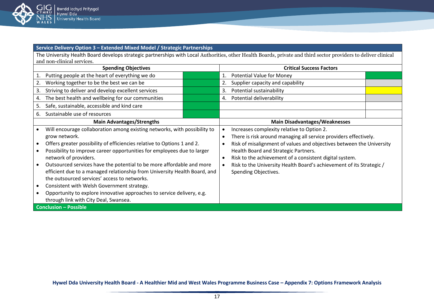

**Service Delivery Option 3 – Extended Mixed Model / Strategic Partnerships**

The University Health Board develops strategic partnerships with Local Authorities, other Health Boards, private and third sector providers to deliver clinical and non-clinical services.

| <b>Spending Objectives</b>                                                                                                                                                                                                                                                                                                                                                                                                                                                                                                                                                                                                                       |  | <b>Critical Success Factors</b>                                                                                                                                                                                                                                                                                                                                                                                     |  |
|--------------------------------------------------------------------------------------------------------------------------------------------------------------------------------------------------------------------------------------------------------------------------------------------------------------------------------------------------------------------------------------------------------------------------------------------------------------------------------------------------------------------------------------------------------------------------------------------------------------------------------------------------|--|---------------------------------------------------------------------------------------------------------------------------------------------------------------------------------------------------------------------------------------------------------------------------------------------------------------------------------------------------------------------------------------------------------------------|--|
| Putting people at the heart of everything we do<br>1.                                                                                                                                                                                                                                                                                                                                                                                                                                                                                                                                                                                            |  | <b>Potential Value for Money</b><br>1.                                                                                                                                                                                                                                                                                                                                                                              |  |
| Working together to be the best we can be<br>2.                                                                                                                                                                                                                                                                                                                                                                                                                                                                                                                                                                                                  |  | Supplier capacity and capability<br>2.                                                                                                                                                                                                                                                                                                                                                                              |  |
| Striving to deliver and develop excellent services<br>3.                                                                                                                                                                                                                                                                                                                                                                                                                                                                                                                                                                                         |  | Potential sustainability<br>3.                                                                                                                                                                                                                                                                                                                                                                                      |  |
| The best health and wellbeing for our communities<br>4.                                                                                                                                                                                                                                                                                                                                                                                                                                                                                                                                                                                          |  | Potential deliverability<br>4.                                                                                                                                                                                                                                                                                                                                                                                      |  |
| Safe, sustainable, accessible and kind care<br>5.                                                                                                                                                                                                                                                                                                                                                                                                                                                                                                                                                                                                |  |                                                                                                                                                                                                                                                                                                                                                                                                                     |  |
| Sustainable use of resources<br>6.                                                                                                                                                                                                                                                                                                                                                                                                                                                                                                                                                                                                               |  |                                                                                                                                                                                                                                                                                                                                                                                                                     |  |
| <b>Main Advantages/Strengths</b>                                                                                                                                                                                                                                                                                                                                                                                                                                                                                                                                                                                                                 |  | <b>Main Disadvantages/Weaknesses</b>                                                                                                                                                                                                                                                                                                                                                                                |  |
| Will encourage collaboration among existing networks, with possibility to<br>grow network.<br>Offers greater possibility of efficiencies relative to Options 1 and 2.<br>Possibility to improve career opportunities for employees due to larger<br>network of providers.<br>Outsourced services have the potential to be more affordable and more<br>efficient due to a managed relationship from University Health Board, and<br>the outsourced services' access to networks.<br>Consistent with Welsh Government strategy.<br>Opportunity to explore innovative approaches to service delivery, e.g.<br>through link with City Deal, Swansea. |  | Increases complexity relative to Option 2.<br>There is risk around managing all service providers effectively.<br>$\bullet$<br>Risk of misalignment of values and objectives between the University<br>Health Board and Strategic Partners.<br>Risk to the achievement of a consistent digital system.<br>$\bullet$<br>Risk to the University Health Board's achievement of its Strategic /<br>Spending Objectives. |  |
| <b>Conclusion - Possible</b>                                                                                                                                                                                                                                                                                                                                                                                                                                                                                                                                                                                                                     |  |                                                                                                                                                                                                                                                                                                                                                                                                                     |  |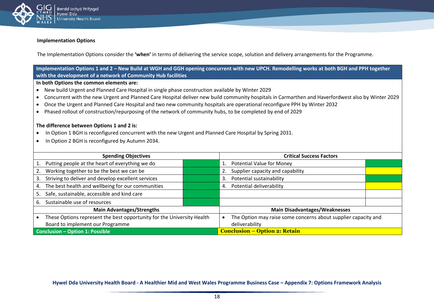

#### **Implementation Options**

The Implementation Options consider the **'when'** in terms of delivering the service scope, solution and delivery arrangements for the Programme.

**Implementation Options 1 and 2 – New Build at WGH and GGH opening concurrent with new UPCH. Remodelling works at both BGH and PPH together with the development of a network of Community Hub facilities**

**In both Options the common elements are:**

- New build Urgent and Planned Care Hospital in single phase construction available by Winter 2029
- Concurrent with the new Urgent and Planned Care Hospital deliver new build community hospitals in Carmarthen and Haverfordwest also by Winter 2029
- Once the Urgent and Planned Care Hospital and two new community hospitals are operational reconfigure PPH by Winter 2032
- Phased rollout of construction/repurposing of the network of community hubs, to be completed by end of 2029

#### **The difference between Options 1 and 2 is:**

- In Option 1 BGH is reconfigured concurrent with the new Urgent and Planned Care Hospital by Spring 2031.
- In Option 2 BGH is reconfigured by Autumn 2034.

| <b>Spending Objectives</b>                                             | <b>Critical Success Factors</b>                                |
|------------------------------------------------------------------------|----------------------------------------------------------------|
| Putting people at the heart of everything we do                        | <b>Potential Value for Money</b>                               |
| Working together to be the best we can be                              | Supplier capacity and capability                               |
| Striving to deliver and develop excellent services<br>3.               | Potential sustainability<br>3.                                 |
| The best health and wellbeing for our communities<br>4.                | Potential deliverability<br>4.                                 |
| Safe, sustainable, accessible and kind care<br>5.                      |                                                                |
| Sustainable use of resources<br>6.                                     |                                                                |
| <b>Main Advantages/Strengths</b>                                       | <b>Main Disadvantages/Weaknesses</b>                           |
| These Options represent the best opportunity for the University Health | The Option may raise some concerns about supplier capacity and |
| Board to implement our Programme                                       | deliverability                                                 |
| Conclusion - Option 1: Possible                                        | <b>Conclusion – Option 2: Retain</b>                           |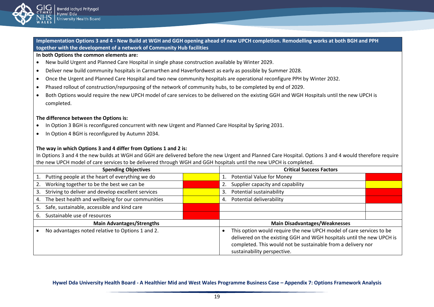

**Implementation Options 3 and 4 - New Build at WGH and GGH opening ahead of new UPCH completion. Remodelling works at both BGH and PPH together with the development of a network of Community Hub facilities**

#### **In both Options the common elements are:**

- New build Urgent and Planned Care Hospital in single phase construction available by Winter 2029.
- Deliver new build community hospitals in Carmarthen and Haverfordwest as early as possible by Summer 2028.
- Once the Urgent and Planned Care Hospital and two new community hospitals are operational reconfigure PPH by Winter 2032.
- Phased rollout of construction/repurposing of the network of community hubs, to be completed by end of 2029.
- Both Options would require the new UPCH model of care services to be delivered on the existing GGH and WGH Hospitals until the new UPCH is completed.

#### **The difference between the Options is:**

- In Option 3 BGH is reconfigured concurrent with new Urgent and Planned Care Hospital by Spring 2031.
- In Option 4 BGH is reconfigured by Autumn 2034.

#### **The way in which Options 3 and 4 differ from Options 1 and 2 is:**

In Options 3 and 4 the new builds at WGH and GGH are delivered before the new Urgent and Planned Care Hospital. Options 3 and 4 would therefore require the new UPCH model of care services to be delivered through WGH and GGH hospitals until the new UPCH is completed.

| <b>Spending Objectives</b>                               |  | <b>Critical Success Factors</b>                                                                                                                                                                                                             |  |
|----------------------------------------------------------|--|---------------------------------------------------------------------------------------------------------------------------------------------------------------------------------------------------------------------------------------------|--|
| Putting people at the heart of everything we do          |  | <b>Potential Value for Money</b>                                                                                                                                                                                                            |  |
| Working together to be the best we can be                |  | Supplier capacity and capability                                                                                                                                                                                                            |  |
| Striving to deliver and develop excellent services<br>3. |  | Potential sustainability<br>3.                                                                                                                                                                                                              |  |
| The best health and wellbeing for our communities<br>4.  |  | Potential deliverability<br>4.                                                                                                                                                                                                              |  |
| Safe, sustainable, accessible and kind care              |  |                                                                                                                                                                                                                                             |  |
| Sustainable use of resources<br>6.                       |  |                                                                                                                                                                                                                                             |  |
| <b>Main Advantages/Strengths</b>                         |  | <b>Main Disadvantages/Weaknesses</b>                                                                                                                                                                                                        |  |
| No advantages noted relative to Options 1 and 2.         |  | This option would require the new UPCH model of care services to be<br>delivered on the existing GGH and WGH hospitals until the new UPCH is<br>completed. This would not be sustainable from a delivery nor<br>sustainability perspective. |  |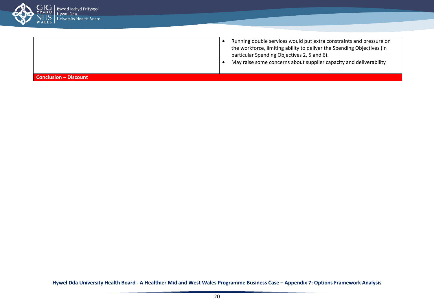

- Running double services would put extra constraints and pressure on the workforce, limiting ability to deliver the Spending Objectives (in particular Spending Objectives 2, 5 and 6).
- May raise some concerns about supplier capacity and deliverability

**Conclusion – Discount**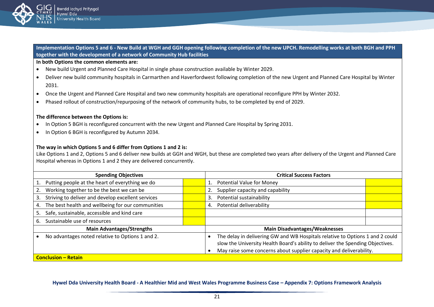

**Implementation Options 5 and 6 - New Build at WGH and GGH opening following completion of the new UPCH. Remodelling works at both BGH and PPH together with the development of a network of Community Hub facilities**

#### **In both Options the common elements are:**

- New build Urgent and Planned Care Hospital in single phase construction available by Winter 2029.
- Deliver new build community hospitals in Carmarthen and Haverfordwest following completion of the new Urgent and Planned Care Hospital by Winter 2031.
- Once the Urgent and Planned Care Hospital and two new community hospitals are operational reconfigure PPH by Winter 2032.
- Phased rollout of construction/repurposing of the network of community hubs, to be completed by end of 2029.

#### **The difference between the Options is:**

- In Option 5 BGH is reconfigured concurrent with the new Urgent and Planned Care Hospital by Spring 2031.
- In Option 6 BGH is reconfigured by Autumn 2034.

#### **The way in which Options 5 and 6 differ from Options 1 and 2 is:**

Like Options 1 and 2, Options 5 and 6 deliver new builds at GGH and WGH, but these are completed two years after delivery of the Urgent and Planned Care Hospital whereas in Options 1 and 2 they are delivered concurrently.

| <b>Spending Objectives</b>                               |  | <b>Critical Success Factors</b>                                                                                                                                 |  |  |  |
|----------------------------------------------------------|--|-----------------------------------------------------------------------------------------------------------------------------------------------------------------|--|--|--|
| Putting people at the heart of everything we do          |  | 1. Potential Value for Money                                                                                                                                    |  |  |  |
| Working together to be the best we can be                |  | Supplier capacity and capability<br>2.                                                                                                                          |  |  |  |
| Striving to deliver and develop excellent services<br>3. |  | Potential sustainability<br>3.                                                                                                                                  |  |  |  |
| The best health and wellbeing for our communities<br>4.  |  | Potential deliverability<br>4.                                                                                                                                  |  |  |  |
| Safe, sustainable, accessible and kind care<br>5.        |  |                                                                                                                                                                 |  |  |  |
| Sustainable use of resources<br>6.                       |  |                                                                                                                                                                 |  |  |  |
| <b>Main Advantages/Strengths</b>                         |  | <b>Main Disadvantages/Weaknesses</b>                                                                                                                            |  |  |  |
| No advantages noted relative to Options 1 and 2.         |  | The delay in delivering GW and WB Hospitals relative to Options 1 and 2 could<br>slow the University Health Board's ability to deliver the Spending Objectives. |  |  |  |
|                                                          |  | May raise some concerns about supplier capacity and deliverability.                                                                                             |  |  |  |
| <b>Conclusion – Retain</b>                               |  |                                                                                                                                                                 |  |  |  |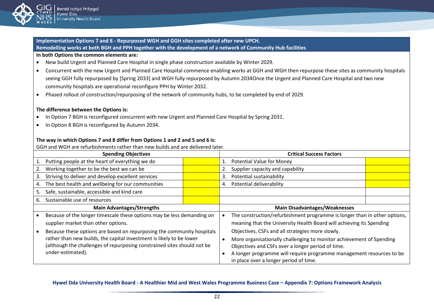

**Implementation Options 7 and 8 - Repurposed WGH and GGH sites completed after new UPCH. Remodelling works at both BGH and PPH together with the development of a network of Community Hub facilities In both Options the common elements are:**

- New build Urgent and Planned Care Hospital in single phase construction available by Winter 2029.
- Concurrent with the new Urgent and Planned Care Hospital commence enabling works at GGH and WGH then repurpose these sites as community hospitals seeing GGH fully repurposed by [Spring 2033] and WGH fully repurposed by Autumn 2034Once the Urgent and Planned Care Hospital and two new community hospitals are operational reconfigure PPH by Winter 2032.
- Phased rollout of construction/repurposing of the network of community hubs, to be completed by end of 2029.

#### **The difference between the Options is:**

- In Option 7 BGH is reconfigured concurrent with new Urgent and Planned Care Hospital by Spring 2031.
- In Option 8 BGH is reconfigured by Autumn 2034.

#### **The way in which Options 7 and 8 differ from Options 1 and 2 and 5 and 6 is:**

GGH and WGH are refurbishments rather than new builds and are delivered later.

| <b>Spending Objectives</b>                                                                                                                                           |                                                                        |  | <b>Critical Success Factors</b>                                                                                                                                                                   |                                                                           |  |  |
|----------------------------------------------------------------------------------------------------------------------------------------------------------------------|------------------------------------------------------------------------|--|---------------------------------------------------------------------------------------------------------------------------------------------------------------------------------------------------|---------------------------------------------------------------------------|--|--|
|                                                                                                                                                                      | Putting people at the heart of everything we do                        |  | 1.                                                                                                                                                                                                | <b>Potential Value for Money</b>                                          |  |  |
|                                                                                                                                                                      | Working together to be the best we can be                              |  |                                                                                                                                                                                                   | Supplier capacity and capability                                          |  |  |
| 3.                                                                                                                                                                   | Striving to deliver and develop excellent services                     |  | 3.                                                                                                                                                                                                | Potential sustainability                                                  |  |  |
| 4.                                                                                                                                                                   | The best health and wellbeing for our communities                      |  | 4.                                                                                                                                                                                                | Potential deliverability                                                  |  |  |
| 5.                                                                                                                                                                   | Safe, sustainable, accessible and kind care                            |  |                                                                                                                                                                                                   |                                                                           |  |  |
| 6.                                                                                                                                                                   | Sustainable use of resources                                           |  |                                                                                                                                                                                                   |                                                                           |  |  |
| <b>Main Advantages/Strengths</b>                                                                                                                                     |                                                                        |  | <b>Main Disadvantages/Weaknesses</b>                                                                                                                                                              |                                                                           |  |  |
|                                                                                                                                                                      | Because of the longer timescale these options may be less demanding on |  |                                                                                                                                                                                                   | The construction/refurbishment programme is longer than in other options, |  |  |
|                                                                                                                                                                      | supplier market than other options.                                    |  |                                                                                                                                                                                                   | meaning that the University Health Board will achieving its Spending      |  |  |
|                                                                                                                                                                      | Because these options are based on repurposing the community hospitals |  |                                                                                                                                                                                                   | Objectives, CSFs and all strategies more slowly.                          |  |  |
| rather than new builds, the capital investment is likely to be lower<br>(although the challenges of repurposing constrained sites should not be<br>under-estimated). |                                                                        |  | More organisationally challenging to monitor achievement of Spending<br>Objectives and CSFs over a longer period of time.<br>A longer programme will require programme management resources to be |                                                                           |  |  |
|                                                                                                                                                                      |                                                                        |  |                                                                                                                                                                                                   | in place over a longer period of time.                                    |  |  |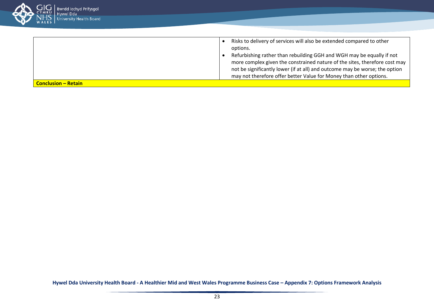

| <b>Conclusion – Retain</b> | may not therefore offer better Value for Money than other options.                                                                                        |
|----------------------------|-----------------------------------------------------------------------------------------------------------------------------------------------------------|
|                            | more complex given the constrained nature of the sites, therefore cost may<br>not be significantly lower (if at all) and outcome may be worse; the option |
|                            | Refurbishing rather than rebuilding GGH and WGH may be equally if not                                                                                     |
|                            | options.                                                                                                                                                  |
|                            | Risks to delivery of services will also be extended compared to other                                                                                     |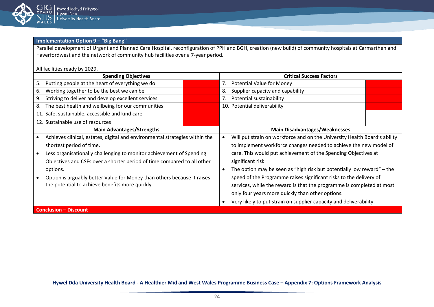

**Implementation Option 9 – "Big Bang"** 

Parallel development of Urgent and Planned Care Hospital, reconfiguration of PPH and BGH, creation (new build) of community hospitals at Carmarthen and Haverfordwest and the network of community hub facilities over a 7-year period.

All facilities ready by 2029.

| <b>Spending Objectives</b>                                                  |  |            | <b>Critical Success Factors</b>                                           |  |  |
|-----------------------------------------------------------------------------|--|------------|---------------------------------------------------------------------------|--|--|
| Putting people at the heart of everything we do<br>5.                       |  | 7.         | <b>Potential Value for Money</b>                                          |  |  |
| Working together to be the best we can be<br>6.                             |  | 8.         | Supplier capacity and capability                                          |  |  |
| Striving to deliver and develop excellent services<br>9.                    |  | 7.         | Potential sustainability                                                  |  |  |
| The best health and wellbeing for our communities<br>8.                     |  |            | 10. Potential deliverability                                              |  |  |
| 11. Safe, sustainable, accessible and kind care                             |  |            |                                                                           |  |  |
| 12. Sustainable use of resources                                            |  |            |                                                                           |  |  |
| <b>Main Advantages/Strengths</b>                                            |  |            | <b>Main Disadvantages/Weaknesses</b>                                      |  |  |
| Achieves clinical, estates, digital and environmental strategies within the |  |            | Will put strain on workforce and on the University Health Board's ability |  |  |
| shortest period of time.                                                    |  |            | to implement workforce changes needed to achieve the new model of         |  |  |
| Less organisationally challenging to monitor achievement of Spending        |  |            | care. This would put achievement of the Spending Objectives at            |  |  |
| Objectives and CSFs over a shorter period of time compared to all other     |  |            | significant risk.                                                         |  |  |
| options.                                                                    |  | $\epsilon$ | The option may be seen as "high risk but potentially low reward" – the    |  |  |
| Option is arguably better Value for Money than others because it raises     |  |            | speed of the Programme raises significant risks to the delivery of        |  |  |
| the potential to achieve benefits more quickly.                             |  |            | services, while the reward is that the programme is completed at most     |  |  |
|                                                                             |  |            | only four years more quickly than other options.                          |  |  |
|                                                                             |  |            | Very likely to put strain on supplier capacity and deliverability.        |  |  |
| <b>Conclusion - Discount</b>                                                |  |            |                                                                           |  |  |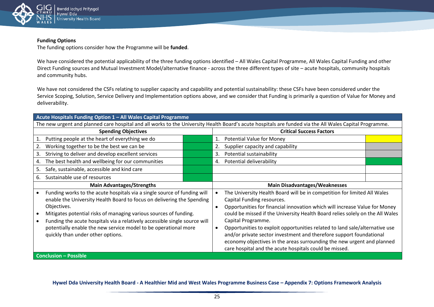

#### **Funding Options**

The funding options consider how the Programme will be **funded**.

We have considered the potential applicability of the three funding options identified – All Wales Capital Programme, All Wales Capital Funding and other Direct Funding sources and Mutual Investment Model/alternative finance - across the three different types of site – acute hospitals, community hospitals and community hubs.

We have not considered the CSFs relating to supplier capacity and capability and potential sustainability: these CSFs have been considered under the Service Scoping, Solution, Service Delivery and Implementation options above, and we consider that Funding is primarily a question of Value for Money and deliverability.

| Acute Hospitals Funding Option 1 – All Wales Capital Programme |                                                                                                                                                         |
|----------------------------------------------------------------|---------------------------------------------------------------------------------------------------------------------------------------------------------|
|                                                                | The new urgent and planned care hospital and all works to the University Health Board's acute hospitals are funded via the All Wales Capital Programme. |

| <b>Spending Objectives</b>                                                                                                                                                                                                                                                                                                                                                                                                   |                                                    |  | <b>Critical Success Factors</b>                                                                                                                                                                                                                                                                                                                                                                                                                                                                                                                                                       |                                  |  |  |
|------------------------------------------------------------------------------------------------------------------------------------------------------------------------------------------------------------------------------------------------------------------------------------------------------------------------------------------------------------------------------------------------------------------------------|----------------------------------------------------|--|---------------------------------------------------------------------------------------------------------------------------------------------------------------------------------------------------------------------------------------------------------------------------------------------------------------------------------------------------------------------------------------------------------------------------------------------------------------------------------------------------------------------------------------------------------------------------------------|----------------------------------|--|--|
|                                                                                                                                                                                                                                                                                                                                                                                                                              | Putting people at the heart of everything we do    |  | 1.                                                                                                                                                                                                                                                                                                                                                                                                                                                                                                                                                                                    | <b>Potential Value for Money</b> |  |  |
| 2.                                                                                                                                                                                                                                                                                                                                                                                                                           | Working together to be the best we can be          |  | 2.                                                                                                                                                                                                                                                                                                                                                                                                                                                                                                                                                                                    | Supplier capacity and capability |  |  |
| 3.                                                                                                                                                                                                                                                                                                                                                                                                                           | Striving to deliver and develop excellent services |  | 3.                                                                                                                                                                                                                                                                                                                                                                                                                                                                                                                                                                                    | Potential sustainability         |  |  |
| 4.                                                                                                                                                                                                                                                                                                                                                                                                                           | The best health and wellbeing for our communities  |  | 4.                                                                                                                                                                                                                                                                                                                                                                                                                                                                                                                                                                                    | Potential deliverability         |  |  |
| 5.                                                                                                                                                                                                                                                                                                                                                                                                                           | Safe, sustainable, accessible and kind care        |  |                                                                                                                                                                                                                                                                                                                                                                                                                                                                                                                                                                                       |                                  |  |  |
| 6.                                                                                                                                                                                                                                                                                                                                                                                                                           | Sustainable use of resources                       |  |                                                                                                                                                                                                                                                                                                                                                                                                                                                                                                                                                                                       |                                  |  |  |
| <b>Main Advantages/Strengths</b>                                                                                                                                                                                                                                                                                                                                                                                             |                                                    |  | <b>Main Disadvantages/Weaknesses</b>                                                                                                                                                                                                                                                                                                                                                                                                                                                                                                                                                  |                                  |  |  |
| Funding works to the acute hospitals via a single source of funding will<br>enable the University Health Board to focus on delivering the Spending<br>Objectives.<br>Mitigates potential risks of managing various sources of funding.<br>Funding the acute hospitals via a relatively accessible single source will<br>potentially enable the new service model to be operational more<br>quickly than under other options. |                                                    |  | The University Health Board will be in competition for limited All Wales<br>Capital Funding resources.<br>Opportunities for financial innovation which will increase Value for Money<br>could be missed if the University Health Board relies solely on the All Wales<br>Capital Programme.<br>Opportunities to exploit opportunities related to land sale/alternative use<br>and/or private sector investment and therefore support foundational<br>economy objectives in the areas surrounding the new urgent and planned<br>care hospital and the acute hospitals could be missed. |                                  |  |  |
|                                                                                                                                                                                                                                                                                                                                                                                                                              | <b>Conclusion - Possible</b>                       |  |                                                                                                                                                                                                                                                                                                                                                                                                                                                                                                                                                                                       |                                  |  |  |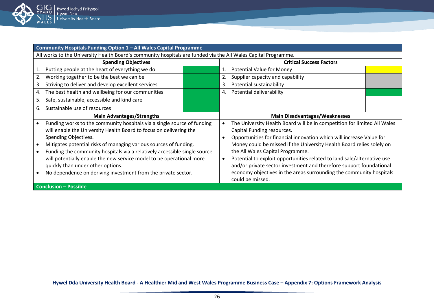

| Community Hospitals Funding Option 1 - All Wales Capital Programme                                             |                                                                          |  |  |  |  |  |
|----------------------------------------------------------------------------------------------------------------|--------------------------------------------------------------------------|--|--|--|--|--|
| All works to the University Health Board's community hospitals are funded via the All Wales Capital Programme. |                                                                          |  |  |  |  |  |
| <b>Spending Objectives</b>                                                                                     | <b>Critical Success Factors</b>                                          |  |  |  |  |  |
| Putting people at the heart of everything we do                                                                | <b>Potential Value for Money</b><br>1.                                   |  |  |  |  |  |
| Working together to be the best we can be<br>2.                                                                | Supplier capacity and capability<br>2.                                   |  |  |  |  |  |
| Striving to deliver and develop excellent services<br>3.                                                       | Potential sustainability<br>3.                                           |  |  |  |  |  |
| The best health and wellbeing for our communities<br>4.                                                        | Potential deliverability<br>$-4.$                                        |  |  |  |  |  |
| Safe, sustainable, accessible and kind care<br>5.                                                              |                                                                          |  |  |  |  |  |
| Sustainable use of resources<br>6.                                                                             |                                                                          |  |  |  |  |  |
| <b>Main Advantages/Strengths</b>                                                                               | <b>Main Disadvantages/Weaknesses</b>                                     |  |  |  |  |  |
|                                                                                                                |                                                                          |  |  |  |  |  |
| Funding works to the community hospitals via a single source of funding                                        | The University Health Board will be in competition for limited All Wales |  |  |  |  |  |
| will enable the University Health Board to focus on delivering the                                             | Capital Funding resources.                                               |  |  |  |  |  |
| Spending Objectives.                                                                                           | Opportunities for financial innovation which will increase Value for     |  |  |  |  |  |
| Mitigates potential risks of managing various sources of funding.                                              | Money could be missed if the University Health Board relies solely on    |  |  |  |  |  |
| Funding the community hospitals via a relatively accessible single source                                      | the All Wales Capital Programme.                                         |  |  |  |  |  |
| will potentially enable the new service model to be operational more                                           | Potential to exploit opportunities related to land sale/alternative use  |  |  |  |  |  |
| quickly than under other options.                                                                              | and/or private sector investment and therefore support foundational      |  |  |  |  |  |
| No dependence on deriving investment from the private sector.                                                  | economy objectives in the areas surrounding the community hospitals      |  |  |  |  |  |
|                                                                                                                | could be missed.                                                         |  |  |  |  |  |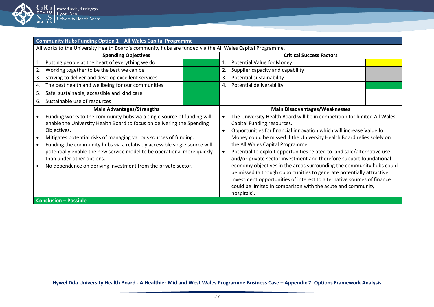

| Community Hubs Funding Option 1 - All Wales Capital Programme                                                                                                                                                                                                                                                                                                                                                                                                                               |  |                                     |                                                                                                                                                                                                                                                                                                                                                                                                                                                                                                                                                                                                                                                                                                                                                       |  |  |  |  |
|---------------------------------------------------------------------------------------------------------------------------------------------------------------------------------------------------------------------------------------------------------------------------------------------------------------------------------------------------------------------------------------------------------------------------------------------------------------------------------------------|--|-------------------------------------|-------------------------------------------------------------------------------------------------------------------------------------------------------------------------------------------------------------------------------------------------------------------------------------------------------------------------------------------------------------------------------------------------------------------------------------------------------------------------------------------------------------------------------------------------------------------------------------------------------------------------------------------------------------------------------------------------------------------------------------------------------|--|--|--|--|
| All works to the University Health Board's community hubs are funded via the All Wales Capital Programme.                                                                                                                                                                                                                                                                                                                                                                                   |  |                                     |                                                                                                                                                                                                                                                                                                                                                                                                                                                                                                                                                                                                                                                                                                                                                       |  |  |  |  |
| <b>Spending Objectives</b>                                                                                                                                                                                                                                                                                                                                                                                                                                                                  |  |                                     | <b>Critical Success Factors</b>                                                                                                                                                                                                                                                                                                                                                                                                                                                                                                                                                                                                                                                                                                                       |  |  |  |  |
| Putting people at the heart of everything we do                                                                                                                                                                                                                                                                                                                                                                                                                                             |  | 1.                                  | <b>Potential Value for Money</b>                                                                                                                                                                                                                                                                                                                                                                                                                                                                                                                                                                                                                                                                                                                      |  |  |  |  |
| Working together to be the best we can be                                                                                                                                                                                                                                                                                                                                                                                                                                                   |  | 2.                                  | Supplier capacity and capability                                                                                                                                                                                                                                                                                                                                                                                                                                                                                                                                                                                                                                                                                                                      |  |  |  |  |
| Striving to deliver and develop excellent services<br>3.                                                                                                                                                                                                                                                                                                                                                                                                                                    |  | 3.                                  | Potential sustainability                                                                                                                                                                                                                                                                                                                                                                                                                                                                                                                                                                                                                                                                                                                              |  |  |  |  |
| The best health and wellbeing for our communities<br>4.                                                                                                                                                                                                                                                                                                                                                                                                                                     |  | 4.                                  | Potential deliverability                                                                                                                                                                                                                                                                                                                                                                                                                                                                                                                                                                                                                                                                                                                              |  |  |  |  |
| Safe, sustainable, accessible and kind care<br>5.                                                                                                                                                                                                                                                                                                                                                                                                                                           |  |                                     |                                                                                                                                                                                                                                                                                                                                                                                                                                                                                                                                                                                                                                                                                                                                                       |  |  |  |  |
| Sustainable use of resources<br>6.                                                                                                                                                                                                                                                                                                                                                                                                                                                          |  |                                     |                                                                                                                                                                                                                                                                                                                                                                                                                                                                                                                                                                                                                                                                                                                                                       |  |  |  |  |
| <b>Main Advantages/Strengths</b>                                                                                                                                                                                                                                                                                                                                                                                                                                                            |  |                                     | <b>Main Disadvantages/Weaknesses</b>                                                                                                                                                                                                                                                                                                                                                                                                                                                                                                                                                                                                                                                                                                                  |  |  |  |  |
| Funding works to the community hubs via a single source of funding will<br>enable the University Health Board to focus on delivering the Spending<br>Objectives.<br>Mitigates potential risks of managing various sources of funding.<br>Funding the community hubs via a relatively accessible single source will<br>potentially enable the new service model to be operational more quickly<br>than under other options.<br>No dependence on deriving investment from the private sector. |  | $\bullet$<br>$\bullet$<br>$\bullet$ | The University Health Board will be in competition for limited All Wales<br>Capital Funding resources.<br>Opportunities for financial innovation which will increase Value for<br>Money could be missed if the University Health Board relies solely on<br>the All Wales Capital Programme.<br>Potential to exploit opportunities related to land sale/alternative use<br>and/or private sector investment and therefore support foundational<br>economy objectives in the areas surrounding the community hubs could<br>be missed (although opportunities to generate potentially attractive<br>investment opportunities of interest to alternative sources of finance<br>could be limited in comparison with the acute and community<br>hospitals). |  |  |  |  |
| <b>Conclusion - Possible</b>                                                                                                                                                                                                                                                                                                                                                                                                                                                                |  |                                     |                                                                                                                                                                                                                                                                                                                                                                                                                                                                                                                                                                                                                                                                                                                                                       |  |  |  |  |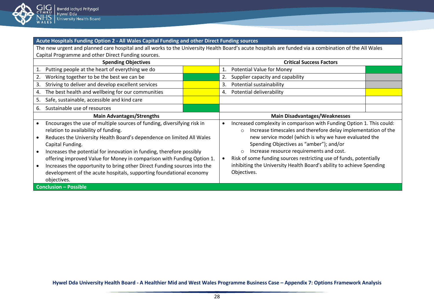

# **Acute Hospitals Funding Option 2 - All Wales Capital Funding and other Direct Funding sources**

The new urgent and planned care hospital and all works to the University Health Board's acute hospitals are funded via a combination of the All Wales Capital Programme and other Direct Funding sources.

| <b>Spending Objectives</b>   |                                                                                                                                                                                                                                                                                                                                                                                                                                                                                                                                   | <b>Critical Success Factors</b> |    |                                                                                                                                                                                                                                                                                                                                                                                                                                                                           |  |  |
|------------------------------|-----------------------------------------------------------------------------------------------------------------------------------------------------------------------------------------------------------------------------------------------------------------------------------------------------------------------------------------------------------------------------------------------------------------------------------------------------------------------------------------------------------------------------------|---------------------------------|----|---------------------------------------------------------------------------------------------------------------------------------------------------------------------------------------------------------------------------------------------------------------------------------------------------------------------------------------------------------------------------------------------------------------------------------------------------------------------------|--|--|
|                              | Putting people at the heart of everything we do                                                                                                                                                                                                                                                                                                                                                                                                                                                                                   |                                 | 1. | <b>Potential Value for Money</b>                                                                                                                                                                                                                                                                                                                                                                                                                                          |  |  |
| 2.                           | Working together to be the best we can be                                                                                                                                                                                                                                                                                                                                                                                                                                                                                         |                                 | 2. | Supplier capacity and capability                                                                                                                                                                                                                                                                                                                                                                                                                                          |  |  |
| 3.                           | Striving to deliver and develop excellent services                                                                                                                                                                                                                                                                                                                                                                                                                                                                                |                                 | 3. | Potential sustainability                                                                                                                                                                                                                                                                                                                                                                                                                                                  |  |  |
| 4.                           | The best health and wellbeing for our communities                                                                                                                                                                                                                                                                                                                                                                                                                                                                                 |                                 | 4. | Potential deliverability                                                                                                                                                                                                                                                                                                                                                                                                                                                  |  |  |
| 5.                           | Safe, sustainable, accessible and kind care                                                                                                                                                                                                                                                                                                                                                                                                                                                                                       |                                 |    |                                                                                                                                                                                                                                                                                                                                                                                                                                                                           |  |  |
| 6.                           | Sustainable use of resources                                                                                                                                                                                                                                                                                                                                                                                                                                                                                                      |                                 |    |                                                                                                                                                                                                                                                                                                                                                                                                                                                                           |  |  |
|                              | <b>Main Advantages/Strengths</b>                                                                                                                                                                                                                                                                                                                                                                                                                                                                                                  |                                 |    | <b>Main Disadvantages/Weaknesses</b>                                                                                                                                                                                                                                                                                                                                                                                                                                      |  |  |
|                              | Encourages the use of multiple sources of funding, diversifying risk in<br>relation to availability of funding.<br>Reduces the University Health Board's dependence on limited All Wales<br>Capital Funding.<br>Increases the potential for innovation in funding, therefore possibly<br>offering improved Value for Money in comparison with Funding Option 1.<br>Increases the opportunity to bring other Direct Funding sources into the<br>development of the acute hospitals, supporting foundational economy<br>objectives. |                                 |    | Increased complexity in comparison with Funding Option 1. This could:<br>Increase timescales and therefore delay implementation of the<br>$\circ$<br>new service model (which is why we have evaluated the<br>Spending Objectives as "amber"); and/or<br>Increase resource requirements and cost.<br>$\circ$<br>Risk of some funding sources restricting use of funds, potentially<br>inhibiting the University Health Board's ability to achieve Spending<br>Objectives. |  |  |
| <b>Conclusion - Possible</b> |                                                                                                                                                                                                                                                                                                                                                                                                                                                                                                                                   |                                 |    |                                                                                                                                                                                                                                                                                                                                                                                                                                                                           |  |  |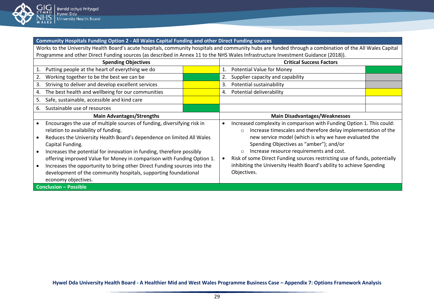

#### **Community Hospitals Funding Option 2 - All Wales Capital Funding and other Direct Funding sources**

Works to the University Health Board's acute hospitals, community hospitals and community hubs are funded through a combination of the All Wales Capital Programme and other Direct Funding sources (as described in Annex 11 to the NHS Wales Infrastructure Investment Guidance (2018)).

| <b>Spending Objectives</b>   |                                                                                                                                                                                                                                                                                                                                                                                                                                                                                                                                       | <b>Critical Success Factors</b> |    |                                                                                                                                                                                                                                                                                                                                                                                                                                                                                  |  |  |
|------------------------------|---------------------------------------------------------------------------------------------------------------------------------------------------------------------------------------------------------------------------------------------------------------------------------------------------------------------------------------------------------------------------------------------------------------------------------------------------------------------------------------------------------------------------------------|---------------------------------|----|----------------------------------------------------------------------------------------------------------------------------------------------------------------------------------------------------------------------------------------------------------------------------------------------------------------------------------------------------------------------------------------------------------------------------------------------------------------------------------|--|--|
| 1.                           | Putting people at the heart of everything we do                                                                                                                                                                                                                                                                                                                                                                                                                                                                                       |                                 |    | Potential Value for Money                                                                                                                                                                                                                                                                                                                                                                                                                                                        |  |  |
|                              | Working together to be the best we can be                                                                                                                                                                                                                                                                                                                                                                                                                                                                                             |                                 | 2. | Supplier capacity and capability                                                                                                                                                                                                                                                                                                                                                                                                                                                 |  |  |
| 3.                           | Striving to deliver and develop excellent services                                                                                                                                                                                                                                                                                                                                                                                                                                                                                    |                                 | 3. | Potential sustainability                                                                                                                                                                                                                                                                                                                                                                                                                                                         |  |  |
| 4.                           | The best health and wellbeing for our communities                                                                                                                                                                                                                                                                                                                                                                                                                                                                                     |                                 | 4. | Potential deliverability                                                                                                                                                                                                                                                                                                                                                                                                                                                         |  |  |
| 5.                           | Safe, sustainable, accessible and kind care                                                                                                                                                                                                                                                                                                                                                                                                                                                                                           |                                 |    |                                                                                                                                                                                                                                                                                                                                                                                                                                                                                  |  |  |
| 6.                           | Sustainable use of resources                                                                                                                                                                                                                                                                                                                                                                                                                                                                                                          |                                 |    |                                                                                                                                                                                                                                                                                                                                                                                                                                                                                  |  |  |
|                              | <b>Main Advantages/Strengths</b>                                                                                                                                                                                                                                                                                                                                                                                                                                                                                                      |                                 |    | <b>Main Disadvantages/Weaknesses</b>                                                                                                                                                                                                                                                                                                                                                                                                                                             |  |  |
|                              | Encourages the use of multiple sources of funding, diversifying risk in<br>relation to availability of funding.<br>Reduces the University Health Board's dependence on limited All Wales<br>Capital Funding.<br>Increases the potential for innovation in funding, therefore possibly<br>offering improved Value for Money in comparison with Funding Option 1.<br>Increases the opportunity to bring other Direct Funding sources into the<br>development of the community hospitals, supporting foundational<br>economy objectives. |                                 |    | Increased complexity in comparison with Funding Option 1. This could:<br>Increase timescales and therefore delay implementation of the<br>$\circ$<br>new service model (which is why we have evaluated the<br>Spending Objectives as "amber"); and/or<br>Increase resource requirements and cost.<br>$\circ$<br>Risk of some Direct Funding sources restricting use of funds, potentially<br>inhibiting the University Health Board's ability to achieve Spending<br>Objectives. |  |  |
| <b>Conclusion - Possible</b> |                                                                                                                                                                                                                                                                                                                                                                                                                                                                                                                                       |                                 |    |                                                                                                                                                                                                                                                                                                                                                                                                                                                                                  |  |  |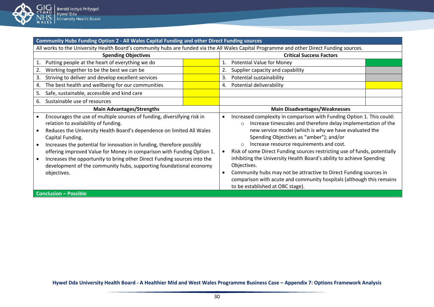

| Community Hubs Funding Option 2 - All Wales Capital Funding and other Direct Funding sources                                               |                                 |                                                                                    |  |  |  |  |
|--------------------------------------------------------------------------------------------------------------------------------------------|---------------------------------|------------------------------------------------------------------------------------|--|--|--|--|
| All works to the University Health Board's community hubs are funded via the All Wales Capital Programme and other Direct Funding sources. |                                 |                                                                                    |  |  |  |  |
| <b>Spending Objectives</b>                                                                                                                 | <b>Critical Success Factors</b> |                                                                                    |  |  |  |  |
| Putting people at the heart of everything we do                                                                                            |                                 | <b>Potential Value for Money</b><br>1.                                             |  |  |  |  |
| Working together to be the best we can be                                                                                                  |                                 | Supplier capacity and capability                                                   |  |  |  |  |
| Striving to deliver and develop excellent services<br>3.                                                                                   |                                 | Potential sustainability<br>3.                                                     |  |  |  |  |
| The best health and wellbeing for our communities<br>4.                                                                                    |                                 | Potential deliverability<br>4.                                                     |  |  |  |  |
| Safe, sustainable, accessible and kind care<br>5.                                                                                          |                                 |                                                                                    |  |  |  |  |
| Sustainable use of resources<br>6.                                                                                                         |                                 |                                                                                    |  |  |  |  |
| <b>Main Advantages/Strengths</b>                                                                                                           |                                 | <b>Main Disadvantages/Weaknesses</b>                                               |  |  |  |  |
| Encourages the use of multiple sources of funding, diversifying risk in                                                                    |                                 | Increased complexity in comparison with Funding Option 1. This could:<br>$\bullet$ |  |  |  |  |
| relation to availability of funding.                                                                                                       |                                 | Increase timescales and therefore delay implementation of the<br>$\circ$           |  |  |  |  |
| Reduces the University Health Board's dependence on limited All Wales                                                                      |                                 | new service model (which is why we have evaluated the                              |  |  |  |  |
| Capital Funding.                                                                                                                           |                                 |                                                                                    |  |  |  |  |
| Increases the potential for innovation in funding, therefore possibly                                                                      |                                 | Spending Objectives as "amber"); and/or                                            |  |  |  |  |
|                                                                                                                                            |                                 | Increase resource requirements and cost.<br>$\circ$                                |  |  |  |  |
| offering improved Value for Money in comparison with Funding Option 1.                                                                     |                                 | Risk of some Direct Funding sources restricting use of funds, potentially          |  |  |  |  |
| Increases the opportunity to bring other Direct Funding sources into the                                                                   |                                 | inhibiting the University Health Board's ability to achieve Spending               |  |  |  |  |
| development of the community hubs, supporting foundational economy                                                                         |                                 | Objectives.                                                                        |  |  |  |  |
| objectives.                                                                                                                                |                                 | Community hubs may not be attractive to Direct Funding sources in<br>$\bullet$     |  |  |  |  |
|                                                                                                                                            |                                 | comparison with acute and community hospitals (although this remains               |  |  |  |  |
|                                                                                                                                            |                                 | to be established at OBC stage).                                                   |  |  |  |  |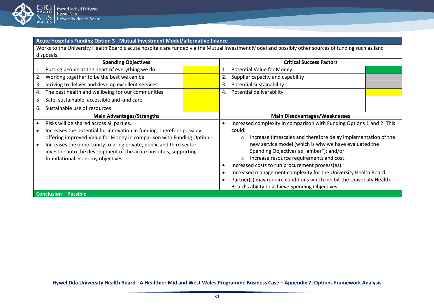

# **Acute Hospitals Funding Option 3 - Mutual Investment Model/alternative finance**

Works to the University Health Board's acute hospitals are funded via the Mutual Investment Model and possibly other sources of funding such as land disposals.

| <b>Spending Objectives</b> |                                                                        |  | <b>Critical Success Factors</b>                                          |                                                                       |  |  |
|----------------------------|------------------------------------------------------------------------|--|--------------------------------------------------------------------------|-----------------------------------------------------------------------|--|--|
|                            | Putting people at the heart of everything we do                        |  | 1.                                                                       | <b>Potential Value for Money</b>                                      |  |  |
|                            | Working together to be the best we can be                              |  | 2.                                                                       | Supplier capacity and capability                                      |  |  |
| 3.                         | Striving to deliver and develop excellent services                     |  | 3.                                                                       | Potential sustainability                                              |  |  |
| 4.                         | The best health and wellbeing for our communities                      |  | 4.                                                                       | Potential deliverability                                              |  |  |
| 5.                         | Safe, sustainable, accessible and kind care                            |  |                                                                          |                                                                       |  |  |
| 6.                         | Sustainable use of resources                                           |  |                                                                          |                                                                       |  |  |
|                            | <b>Main Advantages/Strengths</b>                                       |  | <b>Main Disadvantages/Weaknesses</b>                                     |                                                                       |  |  |
|                            | Risks will be shared across all parties.                               |  |                                                                          | Increased complexity in comparison with Funding Options 1 and 2. This |  |  |
|                            | Increases the potential for innovation in funding, therefore possibly  |  |                                                                          | could:                                                                |  |  |
|                            | offering improved Value for Money in comparison with Funding Option 1. |  | Increase timescales and therefore delay implementation of the<br>$\circ$ |                                                                       |  |  |
|                            | Increases the opportunity to bring private, public and third sector    |  |                                                                          | new service model (which is why we have evaluated the                 |  |  |
|                            | investors into the development of the acute hospitals, supporting      |  |                                                                          | Spending Objectives as "amber"); and/or                               |  |  |
|                            | foundational economy objectives.                                       |  |                                                                          | Increase resource requirements and cost.<br>$\circ$                   |  |  |
|                            |                                                                        |  | Increased costs to run procurement process(es).                          |                                                                       |  |  |
|                            |                                                                        |  |                                                                          | Increased management complexity for the University Health Board.      |  |  |
|                            |                                                                        |  | Partner(s) may require conditions which inhibit the University Health    |                                                                       |  |  |
|                            |                                                                        |  |                                                                          | Board's ability to achieve Spending Objectives.                       |  |  |
|                            | <b>Conclusion - Possible</b>                                           |  |                                                                          |                                                                       |  |  |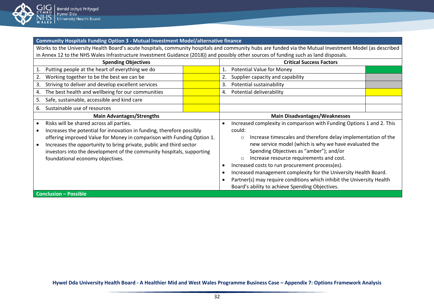

**Community Hospitals Funding Option 3 - Mutual Investment Model/alternative finance**

Works to the University Health Board's acute hospitals, community hospitals and community hubs are funded via the Mutual Investment Model (as described in Annex 12 to the NHS Wales Infrastructure Investment Guidance (2018)) and possibly other sources of funding such as land disposals.

| <b>Spending Objectives</b> |                                                                        |  | <b>Critical Success Factors</b>                                       |                                                                          |  |  |
|----------------------------|------------------------------------------------------------------------|--|-----------------------------------------------------------------------|--------------------------------------------------------------------------|--|--|
|                            | Putting people at the heart of everything we do                        |  | 1.                                                                    | <b>Potential Value for Money</b>                                         |  |  |
|                            | Working together to be the best we can be                              |  | 2.                                                                    | Supplier capacity and capability                                         |  |  |
| 3.                         | Striving to deliver and develop excellent services                     |  | 3.                                                                    | Potential sustainability                                                 |  |  |
| 4.                         | The best health and wellbeing for our communities                      |  | 4.                                                                    | Potential deliverability                                                 |  |  |
| 5.                         | Safe, sustainable, accessible and kind care                            |  |                                                                       |                                                                          |  |  |
| 6.                         | Sustainable use of resources                                           |  |                                                                       |                                                                          |  |  |
|                            | <b>Main Advantages/Strengths</b>                                       |  |                                                                       | <b>Main Disadvantages/Weaknesses</b>                                     |  |  |
|                            | Risks will be shared across all parties.                               |  |                                                                       | Increased complexity in comparison with Funding Options 1 and 2. This    |  |  |
|                            | Increases the potential for innovation in funding, therefore possibly  |  |                                                                       | could:                                                                   |  |  |
|                            | offering improved Value for Money in comparison with Funding Option 1. |  |                                                                       | Increase timescales and therefore delay implementation of the<br>$\circ$ |  |  |
|                            | Increases the opportunity to bring private, public and third sector    |  |                                                                       | new service model (which is why we have evaluated the                    |  |  |
|                            | investors into the development of the community hospitals, supporting  |  |                                                                       | Spending Objectives as "amber"); and/or                                  |  |  |
|                            | foundational economy objectives.                                       |  |                                                                       | Increase resource requirements and cost.<br>$\circ$                      |  |  |
|                            |                                                                        |  |                                                                       | Increased costs to run procurement process(es).                          |  |  |
|                            |                                                                        |  |                                                                       | Increased management complexity for the University Health Board.         |  |  |
|                            |                                                                        |  | Partner(s) may require conditions which inhibit the University Health |                                                                          |  |  |
|                            |                                                                        |  |                                                                       | Board's ability to achieve Spending Objectives.                          |  |  |
|                            | <b>Conclusion - Possible</b>                                           |  |                                                                       |                                                                          |  |  |